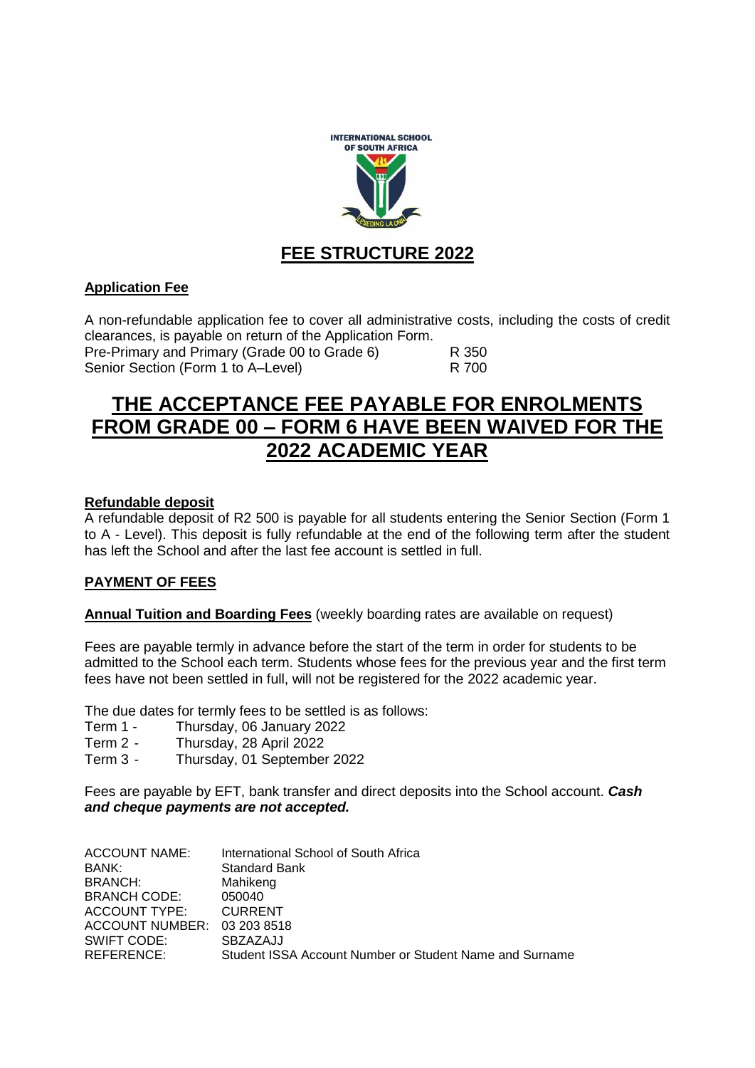

## **FEE STRUCTURE 2022**

## **Application Fee**

A non-refundable application fee to cover all administrative costs, including the costs of credit clearances, is payable on return of the Application Form.

Pre-Primary and Primary (Grade 00 to Grade 6) R 350 Senior Section (Form 1 to A–Level) R 700

# **THE ACCEPTANCE FEE PAYABLE FOR ENROLMENTS FROM GRADE 00 – FORM 6 HAVE BEEN WAIVED FOR THE 2022 ACADEMIC YEAR**

#### **Refundable deposit**

A refundable deposit of R2 500 is payable for all students entering the Senior Section (Form 1 to A - Level). This deposit is fully refundable at the end of the following term after the student has left the School and after the last fee account is settled in full.

#### **PAYMENT OF FEES**

**Annual Tuition and Boarding Fees** (weekly boarding rates are available on request)

Fees are payable termly in advance before the start of the term in order for students to be admitted to the School each term. Students whose fees for the previous year and the first term fees have not been settled in full, will not be registered for the 2022 academic year.

The due dates for termly fees to be settled is as follows:

- Term 1 Thursday, 06 January 2022
- Term 2 Thursday, 28 April 2022
- Term 3 Thursday, 01 September 2022

Fees are payable by EFT, bank transfer and direct deposits into the School account. *Cash and cheque payments are not accepted.*

| ACCOUNT NAME:       | International School of South Africa                    |
|---------------------|---------------------------------------------------------|
| BANK:               | <b>Standard Bank</b>                                    |
| BRANCH:             | Mahikeng                                                |
| <b>BRANCH CODE:</b> | 050040                                                  |
| ACCOUNT TYPE:       | <b>CURRENT</b>                                          |
| ACCOUNT NUMBER:     | 03 203 8518                                             |
| SWIFT CODE:         | SBZAZAJJ                                                |
| REFERENCE:          | Student ISSA Account Number or Student Name and Surname |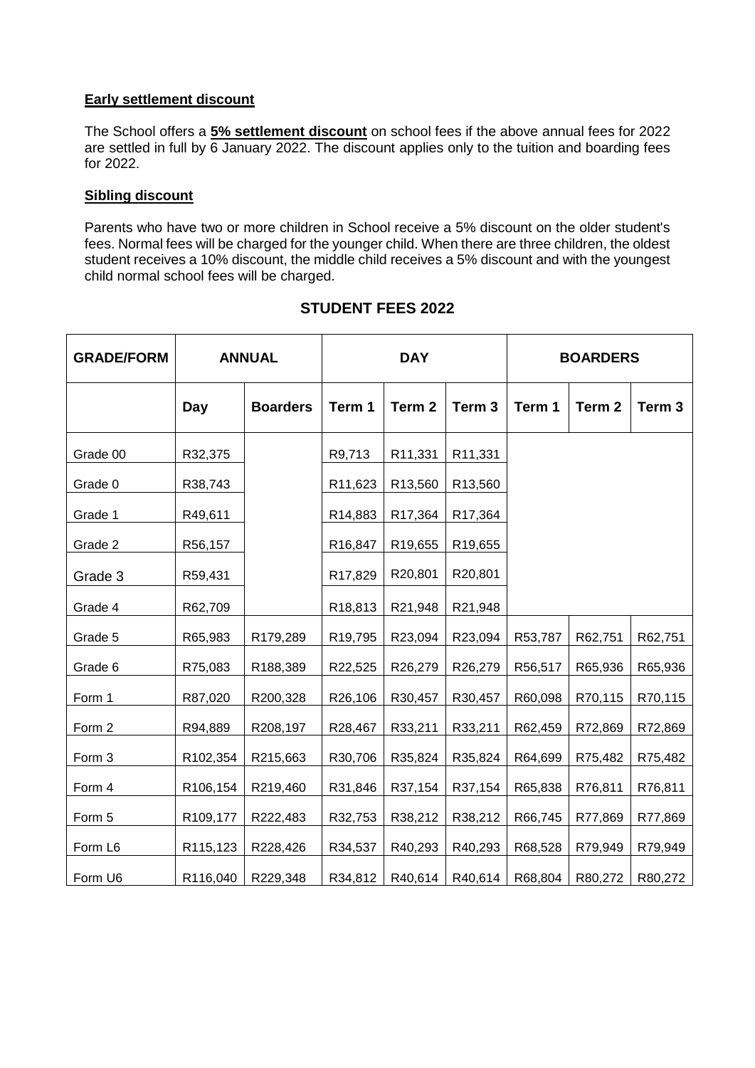## **Early settlement discount**

The School offers a **5% settlement discount** on school fees if the above annual fees for 2022 are settled in full by 6 January 2022. The discount applies only to the tuition and boarding fees for 2022.

## **Sibling discount**

Parents who have two or more children in School receive a 5% discount on the older student's fees. Normal fees will be charged for the younger child. When there are three children, the oldest student receives a 10% discount, the middle child receives a 5% discount and with the youngest child normal school fees will be charged.

| <b>GRADE/FORM</b> | <b>ANNUAL</b> |                 | <b>DAY</b>           |         |                   | <b>BOARDERS</b> |         |                   |
|-------------------|---------------|-----------------|----------------------|---------|-------------------|-----------------|---------|-------------------|
|                   | Day           | <b>Boarders</b> | Term 1               | Term 2  | Term <sub>3</sub> | Term 1          | Term 2  | Term <sub>3</sub> |
| Grade 00          | R32,375       |                 | R9,713               | R11,331 | R11,331           |                 |         |                   |
| Grade 0           | R38,743       |                 | R11,623              | R13,560 | R13,560           |                 |         |                   |
| Grade 1           | R49,611       |                 | R14,883              | R17,364 | R17,364           |                 |         |                   |
| Grade 2           | R56,157       |                 | R <sub>16</sub> ,847 | R19,655 | R19,655           |                 |         |                   |
| Grade 3           | R59,431       |                 | R17,829              | R20,801 | R20,801           |                 |         |                   |
| Grade 4           | R62,709       |                 | R18,813              | R21,948 | R21,948           |                 |         |                   |
| Grade 5           | R65,983       | R179,289        | R19,795              | R23,094 | R23,094           | R53,787         | R62,751 | R62,751           |
| Grade 6           | R75,083       | R188,389        | R22,525              | R26,279 | R26,279           | R56,517         | R65,936 | R65,936           |
| Form 1            | R87,020       | R200,328        | R26,106              | R30,457 | R30,457           | R60,098         | R70,115 | R70,115           |
| Form 2            | R94,889       | R208,197        | R28,467              | R33,211 | R33,211           | R62,459         | R72,869 | R72,869           |
| Form 3            | R102,354      | R215,663        | R30,706              | R35,824 | R35,824           | R64,699         | R75,482 | R75,482           |
| Form 4            | R106,154      | R219,460        | R31,846              | R37,154 | R37,154           | R65,838         | R76,811 | R76,811           |
| Form 5            | R109,177      | R222,483        | R32,753              | R38,212 | R38,212           | R66,745         | R77,869 | R77,869           |
| Form L6           | R115,123      | R228,426        | R34,537              | R40,293 | R40,293           | R68,528         | R79,949 | R79,949           |
| Form U6           | R116,040      | R229,348        | R34,812              | R40,614 | R40,614           | R68,804         | R80,272 | R80,272           |

## **STUDENT FEES 2022**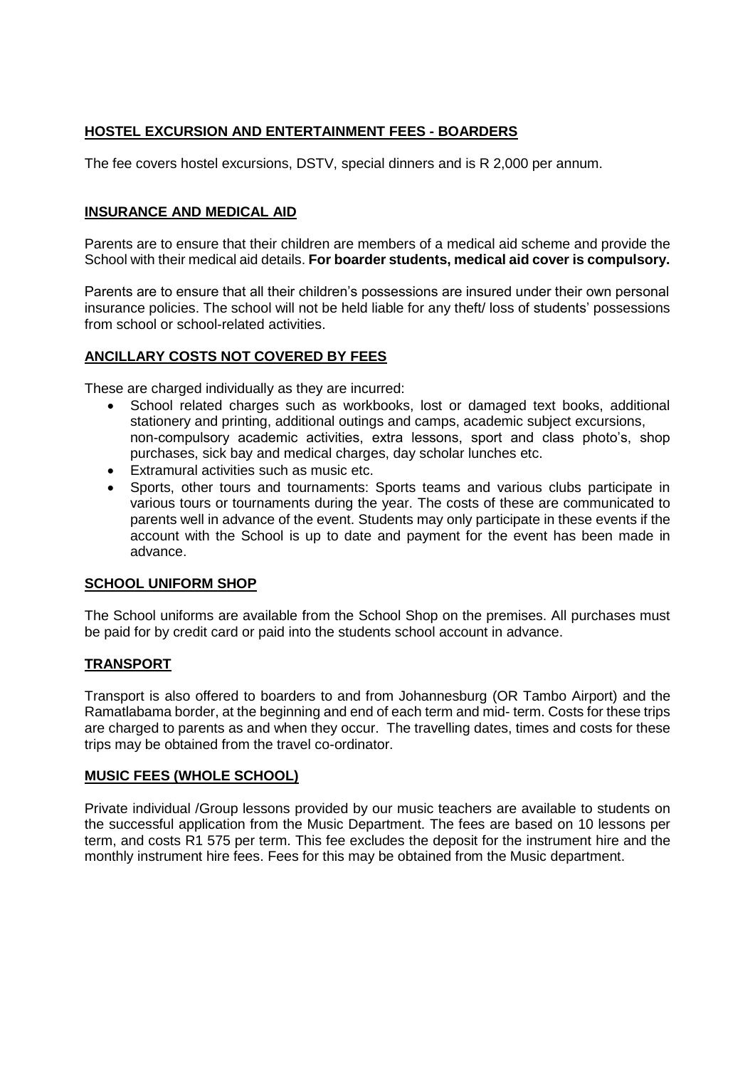## **HOSTEL EXCURSION AND ENTERTAINMENT FEES - BOARDERS**

The fee covers hostel excursions, DSTV, special dinners and is R 2,000 per annum.

## **INSURANCE AND MEDICAL AID**

Parents are to ensure that their children are members of a medical aid scheme and provide the School with their medical aid details. **For boarder students, medical aid cover is compulsory.**

Parents are to ensure that all their children's possessions are insured under their own personal insurance policies. The school will not be held liable for any theft/ loss of students' possessions from school or school-related activities.

## **ANCILLARY COSTS NOT COVERED BY FEES**

These are charged individually as they are incurred:

- School related charges such as workbooks, lost or damaged text books, additional stationery and printing, additional outings and camps, academic subject excursions, non-compulsory academic activities, extra lessons, sport and class photo's, shop purchases, sick bay and medical charges, day scholar lunches etc.
- Extramural activities such as music etc.
- Sports, other tours and tournaments: Sports teams and various clubs participate in various tours or tournaments during the year. The costs of these are communicated to parents well in advance of the event. Students may only participate in these events if the account with the School is up to date and payment for the event has been made in advance.

#### **SCHOOL UNIFORM SHOP**

The School uniforms are available from the School Shop on the premises. All purchases must be paid for by credit card or paid into the students school account in advance.

#### **TRANSPORT**

Transport is also offered to boarders to and from Johannesburg (OR Tambo Airport) and the Ramatlabama border, at the beginning and end of each term and mid- term. Costs for these trips are charged to parents as and when they occur. The travelling dates, times and costs for these trips may be obtained from the travel co-ordinator.

#### **MUSIC FEES (WHOLE SCHOOL)**

Private individual /Group lessons provided by our music teachers are available to students on the successful application from the Music Department. The fees are based on 10 lessons per term, and costs R1 575 per term. This fee excludes the deposit for the instrument hire and the monthly instrument hire fees. Fees for this may be obtained from the Music department.